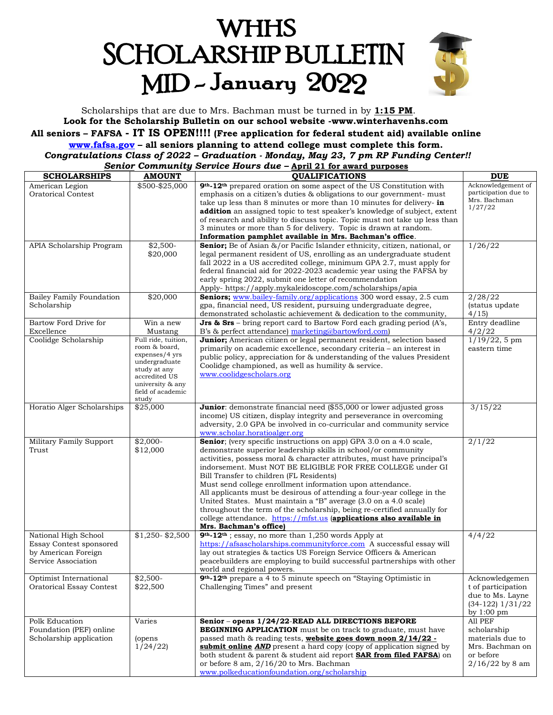# **WHHS SCHOLARSHIP BULLETIN** MID-January 2022



Scholarships that are due to Mrs. Bachman must be turned in by **1:15 PM**. **Look for the Scholarship Bulletin on our school website -www.winterhavenhs.com All seniors – FAFSA - IT IS OPEN!!!! (Free application for federal student aid) available online [www.fafsa.gov](http://www.fafsa.gov/) – all seniors planning to attend college must complete this form.** *Congratulations Class of 2022 – Graduation - Monday, May 23, 7 pm RP Funding Center!! Senior Community Service Hours due –* **April 21 for award purposes**

| <b>SCHOLARSHIPS</b>             | <b>AMOUNT</b>                  | <b>QUALIFICATIONS</b>                                                                                                                          | <b>DUE</b>                                   |
|---------------------------------|--------------------------------|------------------------------------------------------------------------------------------------------------------------------------------------|----------------------------------------------|
| American Legion                 | \$500-\$25,000                 | 9 <sup>th</sup> -12 <sup>th</sup> prepared oration on some aspect of the US Constitution with                                                  | Acknowledgement of                           |
| <b>Oratorical Contest</b>       |                                | emphasis on a citizen's duties & obligations to our government- must                                                                           | participation due to                         |
|                                 |                                | take up less than 8 minutes or more than 10 minutes for delivery- in                                                                           | Mrs. Bachman                                 |
|                                 |                                | <b>addition</b> an assigned topic to test speaker's knowledge of subject, extent                                                               | 1/27/22                                      |
|                                 |                                | of research and ability to discuss topic. Topic must not take up less than                                                                     |                                              |
|                                 |                                | 3 minutes or more than 5 for delivery. Topic is drawn at random.                                                                               |                                              |
|                                 |                                | Information pamphlet available in Mrs. Bachman's office.                                                                                       |                                              |
| APIA Scholarship Program        | $$2,500-$                      | <b>Senior</b> ; Be of Asian &/or Pacific Islander ethnicity, citizen, national, or                                                             | 1/26/22                                      |
|                                 | \$20,000                       | legal permanent resident of US, enrolling as an undergraduate student                                                                          |                                              |
|                                 |                                | fall 2022 in a US accredited college, minimum GPA 2.7, must apply for                                                                          |                                              |
|                                 |                                | federal financial aid for 2022-2023 academic year using the FAFSA by                                                                           |                                              |
|                                 |                                | early spring 2022, submit one letter of recommendation                                                                                         |                                              |
|                                 |                                | Apply- https://apply.mykaleidoscope.com/scholarships/apia                                                                                      |                                              |
| <b>Bailey Family Foundation</b> | \$20,000                       | Seniors; www.bailey-family.org/applications 300 word essay, 2.5 cum                                                                            | 2/28/22                                      |
| Scholarship                     |                                | gpa, financial need, US resident, pursuing undergraduate degree,                                                                               | (status update                               |
|                                 |                                | demonstrated scholastic achievement & dedication to the community,                                                                             | 4/15                                         |
| Bartow Ford Drive for           | Win a new                      | Jrs & Srs - bring report card to Bartow Ford each grading period (A's,                                                                         | Entry deadline                               |
|                                 |                                |                                                                                                                                                |                                              |
| Excellence                      | Mustang<br>Full ride, tuition, | B's & perfect attendance) marketing@bartowford.com)                                                                                            | 4/2/22                                       |
| Coolidge Scholarship            | room & board,                  | Junior; American citizen or legal permanent resident, selection based                                                                          | $1/19/22, 5$ pm                              |
|                                 | expenses/4 yrs                 | primarily on academic excellence, secondary criteria - an interest in                                                                          | eastern time                                 |
|                                 | undergraduate                  | public policy, appreciation for & understanding of the values President                                                                        |                                              |
|                                 | study at any                   | Coolidge championed, as well as humility & service.                                                                                            |                                              |
|                                 | accredited US                  | www.coolidgescholars.org                                                                                                                       |                                              |
|                                 | university & any               |                                                                                                                                                |                                              |
|                                 | field of academic              |                                                                                                                                                |                                              |
|                                 | study                          |                                                                                                                                                |                                              |
| Horatio Alger Scholarships      | \$25,000                       | <b>Junior</b> : demonstrate financial need (\$55,000 or lower adjusted gross                                                                   | 3/15/22                                      |
|                                 |                                | income) US citizen, display integrity and perseverance in overcoming                                                                           |                                              |
|                                 |                                | adversity, 2.0 GPA be involved in co-curricular and community service                                                                          |                                              |
| Military Family Support         | $$2,000-$                      | www.scholar.horatioalger.org<br>Senior; (very specific instructions on app) GPA 3.0 on a 4.0 scale,                                            | 2/1/22                                       |
| Trust                           | \$12,000                       |                                                                                                                                                |                                              |
|                                 |                                | demonstrate superior leadership skills in school/or community                                                                                  |                                              |
|                                 |                                | activities, possess moral & character attributes, must have principal's<br>indorsement. Must NOT BE ELIGIBLE FOR FREE COLLEGE under GI         |                                              |
|                                 |                                | Bill Transfer to children (FL Residents)                                                                                                       |                                              |
|                                 |                                |                                                                                                                                                |                                              |
|                                 |                                | Must send college enrollment information upon attendance.                                                                                      |                                              |
|                                 |                                | All applicants must be desirous of attending a four-year college in the                                                                        |                                              |
|                                 |                                | United States. Must maintain a "B" average (3.0 on a 4.0 scale)                                                                                |                                              |
|                                 |                                | throughout the term of the scholarship, being re-certified annually for<br>college attendance. https://mfst.us (applications also available in |                                              |
|                                 |                                | Mrs. Bachman's office)                                                                                                                         |                                              |
| National High School            | $$1,250 - $2,500$              | 9 <sup>th</sup> -12 <sup>th</sup> ; essay, no more than 1,250 words Apply at                                                                   | 4/4/22                                       |
| Essay Contest sponsored         |                                | https://afsascholarships.communityforce.com A successful essay will                                                                            |                                              |
| by American Foreign             |                                | lay out strategies & tactics US Foreign Service Officers & American                                                                            |                                              |
| Service Association             |                                | peacebuilders are employing to build successful partnerships with other                                                                        |                                              |
|                                 |                                | world and regional powers.                                                                                                                     |                                              |
| Optimist International          | $$2,500-$                      | 9 <sup>th</sup> -12 <sup>th</sup> prepare a 4 to 5 minute speech on "Staying Optimistic in                                                     | Acknowledgemen                               |
| <b>Oratorical Essay Contest</b> | \$22,500                       | Challenging Times" and present                                                                                                                 | t of participation                           |
|                                 |                                |                                                                                                                                                | due to Ms. Layne                             |
|                                 |                                |                                                                                                                                                |                                              |
|                                 |                                |                                                                                                                                                | $(34-122)$ $1/31/22$<br>by $1:00 \text{ pm}$ |
| Polk Education                  | Varies                         | Senior - opens 1/24/22-READ ALL DIRECTIONS BEFORE                                                                                              | All PEF                                      |
| Foundation (PEF) online         |                                | <b>BEGINNING APPLICATION</b> must be on track to graduate, must have                                                                           | scholarship                                  |
| Scholarship application         |                                | passed math & reading tests, website goes down noon 2/14/22 -                                                                                  | materials due to                             |
|                                 | (opens<br>1/24/22              | submit online AND present a hard copy (copy of application signed by                                                                           | Mrs. Bachman on                              |
|                                 |                                | both student & parent & student aid report <b>SAR from filed FAFSA</b> ) on                                                                    | or before                                    |
|                                 |                                |                                                                                                                                                |                                              |
|                                 |                                | or before 8 am, 2/16/20 to Mrs. Bachman<br>www.polkeducationfoundation.org/scholarship                                                         | $2/16/22$ by 8 am                            |
|                                 |                                |                                                                                                                                                |                                              |